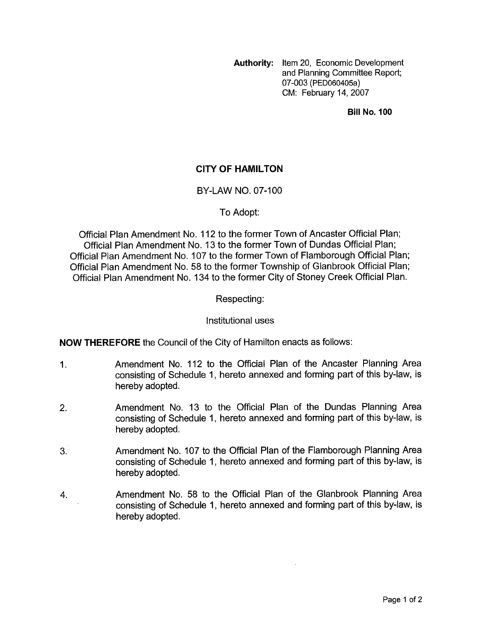**Authority:** Item 20, Economic Development and Planning Committee Report; 07-003 **(PED060405a)**  CM: February 14,2007

**Bill No. 100** 

# **CITY OF HAMILTON**

## BY-LAW NO. 07-100

## To Adopt:

Official Plan Amendment No. 112 to the former Town of Ancaster Official Plan; Official Plan Amendment No. 13 to the former Town of Dundas Official Plan; Official Plan Amendment No. 107 to the former Town of Flamborough Official Plan; Official Plan Amendment No. 58 to the former Township of Glanbrook Official Plan; Official Plan Amendment No. 134 to the former City of Stoney Creek Official Plan.

## Respecting:

#### Institutional uses

**NOW THEREFORE** the Council of the City of Hamilton enacts as follows:

- 1. Amendment No. 112 to the Official Plan of the Ancaster Planning Area consisting of Schedule 1, hereto annexed and forming part of this by-law, is hereby adopted.
- 2. Amendment No. 13 to the Official Plan of the Dundas Planning Area consisting of Schedule 1, hereto annexed and forming part of this by-law, is hereby adopted.
- 3. Amendment No. 107 to the Official Plan of the Flamborough Planning Area consisting of Schedule 1, hereto annexed and forming part of this by-law, is hereby adopted.
- 4. Amendment No. 58 to the Official Plan of the Glanbrook Planning Area consisting of Schedule 1, hereto annexed and forming part of this by-law, is hereby adopted.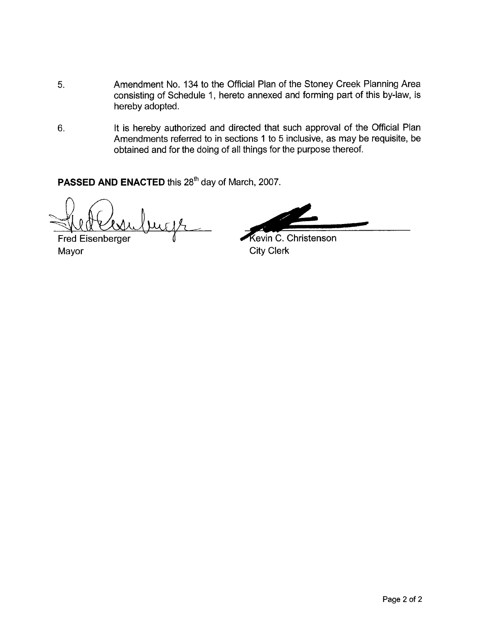- 5. Amendment No. 134 to the Official Plan of the Stoney Creek Planning Area consisting of Schedule 1, hereto annexed and forming part of this by-law, is hereby adopted.
- 6. It is hereby authorized and directed that such approval of the Official Plan Amendments referred to in sections 1 to 5 inclusive, as may be requisite, be obtained and for the doing of all things for the purpose thereof.

PASSED AND ENACTED this 28<sup>th</sup> day of March, 2007.

**Fred Eisenberger** Mayor **City Clerk** 

Kevin C. Christenson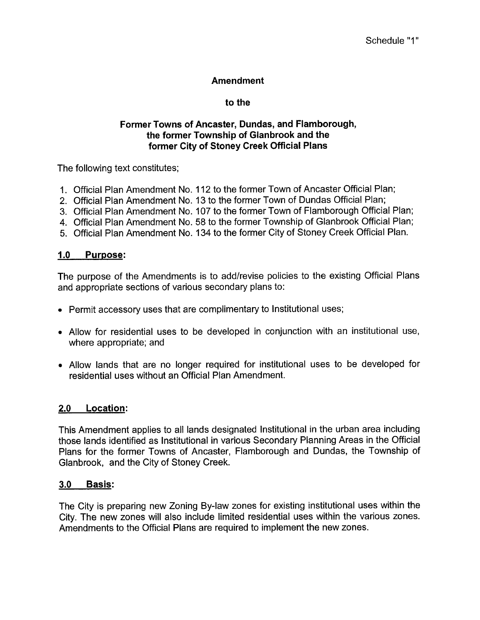# **Amendment**

# **to the**

# **Former Towns of Ancaster, Dundas, and Flamborough, the former Township of Glanbrook and the former City of Stoney Creek Official Plans**

The following text constitutes;

- 1. Official Plan Amendment No. 112 to the former Town of Ancaster Official Plan;
- 2. Official Plan Amendment No. 13 to the former Town of Dundas Official Plan;
- 3. Official Plan Amendment No. 107 to the former Town of Flamborough Official Plan;
- 4. Official Plan Amendment No. 58 to the former Township of Glanbrook Official Plan;
- 5. Official Plan Amendment No. 134 to the former City of Stoney Creek Official Plan.

# **1.0 Purpose:**

The purpose of the Amendments is to add/revise policies to the existing Official Plans and appropriate sections of various secondary plans to:

- Permit accessory uses that are complimentary to Institutional uses;
- Allow for residential uses to be developed in conjunction with an institutional use, where appropriate; and
- Allow lands that are no longer required for institutional uses to be developed for residential uses without an Official Plan Amendment.

# **2.0 Location:**

This Amendment applies to all lands designated Institutional in the urban area including those lands identified as Institutional in various Secondary Planning Areas in the Official Plans for the former Towns of Ancaster, Flamborough and Dundas, the Township of Glanbrook, and the City of Stoney Creek.

# **3.0 Basis:**

The City is preparing new Zoning By-law zones for existing institutional uses within the City. The new zones will also include limited residential uses within the various zones. Amendments to the Official Plans are required to implement the new zones.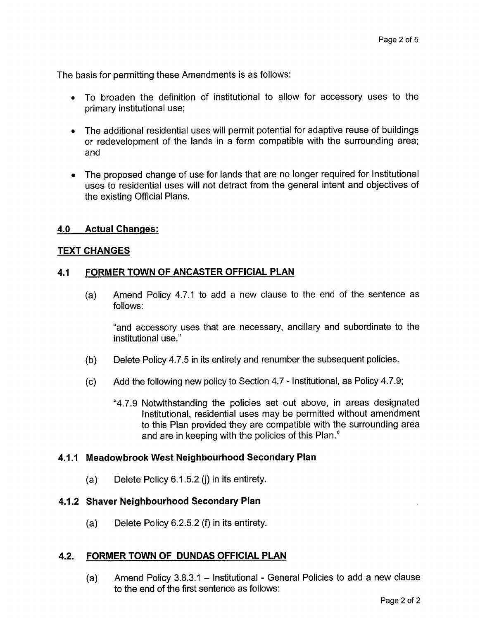The basis for permitting these Amendments is as follows:

- To broaden the definition of institutional to allow for accessory uses to the primary institutional use;
- *<sup>0</sup>*The additional residential uses will permit potential for adaptive reuse of buildings or redevelopment of the lands in a form compatible with the surrounding area; and
- The proposed change of use for lands that are no longer required for Institutional uses to residential uses will not detract from the general intent and objectives of the existing Official Plans.

# **4.0 Actual Changes:**

## **TEXT CHANGES**

## **4.1 FORMER TOWN OF ANCASTER OFFICIAL PLAN**

(a) Amend Policy 4.7.1 to add a new clause to the end of the sentence as follows:

"and accessory uses that are necessary, ancillary and subordinate to the institutional use."

- (b) Delete Policy 4.7.5 in its entirety and renumber the subsequent policies.
- (c) Add the following new policy to Section 4.7 Institutional, as Policy 4.7.9;
	- "4.7.9 Notwithstanding the policies set out above, in areas designated Institutional, residential uses may be permitted without amendment to this Plan provided they are compatible with the surrounding area and are in keeping with the policies of this Plan."

#### **4.1 .I Meadowbrook West Neighbourhood Secondary Plan**

(a) Delete Policy 6.1 **5.2** (j) in its entirety.

#### **4.1.2 Shaver Neighbourhood Secondary Plan**

(a) Delete Policy 6.2.5.2 **(9** in its entirety.

#### **4.2. FORMER TOWN OF DUNDAS OFFICIAL PLAN**

(a) Amend Policy  $3.8.3.1 -$  Institutional - General Policies to add a new clause to the end of the first sentence as follows: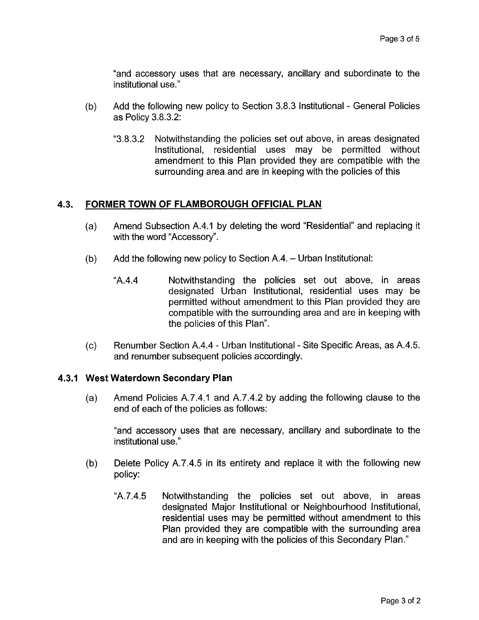"and accessory uses that are necessary, ancillary and subordinate to the institutional use."

- Add the following new policy to Section 3.8.3 Institutional General Policies  $(b)$ as Policy 3.8.3.2:
	- "3.8.3.2 Notwithstanding the policies set out above, in areas designated Institutional, residential uses may be permitted without amendment to this Plan provided they are compatible with the surrounding area and are in keeping with the policies of this

# **4.3. FORMER TOWN OF FLAMBOROUGH OFFICIAL PLAN**

- (a) Amend Subsection A.4.1 by deleting the word "Residential" and replacing it with the word "Accessory".
- Add the following new policy to Section A.4. Urban Institutional: (b)
	- "A.4.4 Notwithstanding the policies set out above, in areas designated Urban Institutional, residential uses may be permitted without amendment to this Plan provided they are compatible with the surrounding area and are in keeping with the policies of this Plan".
- (c) Renumber Section A.4.4 Urban Institutional Site Specific Areas, as A.4.5. and renumber subsequent policies accordingly.

# **4.3.1 West Waterdown Secondary Plan**

Amend Policies A.7.4.1 and A.7.4.2 by adding the following clause to the  $(a)$ end of each of the policies as follows:

"and accessory uses that are necessary, ancillary and subordinate to the institutional use."

- $(b)$ Delete Policy A.7.4.5 in its entirety and replace it with the following new policy:
	- "A.7.4.5 Notwithstanding the policies set out above, in areas designated Major Institutional or Neighbourhood Institutional, residential uses may be permitted without amendment to this Plan provided they are compatible with the surrounding area and are in keeping with the policies of this Secondary Plan."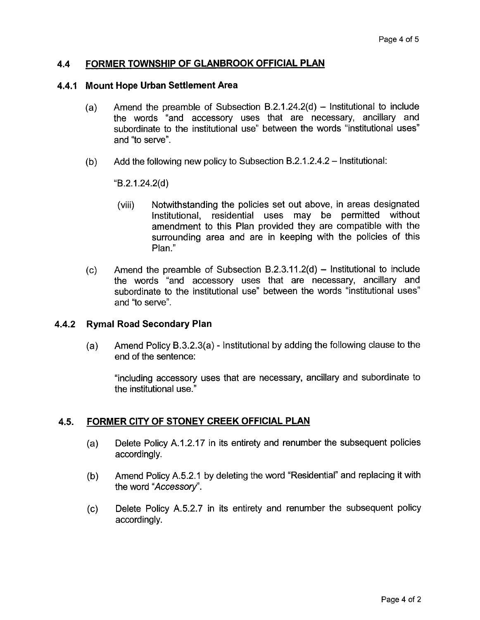## **4.4 FORMER TOWNSHIP OF GLANBROOK OFFICIAL PLAN**

#### **4.4.1 Mount Hope Urban Settlement Area**

- (a) Amend the preamble of Subsection B.2.1.24.2(d) Institutional to include the words "and accessory uses that are necessary, ancillary and subordinate to the institutional use" between the words "institutional uses" and "to serve".
- (b) Add the following new policy to Subsection B.2.1.2.4.2 Institutional:

 $(B.2.1.24.2(d))$ 

- (viii) Notwithstanding the policies set out above, in areas designated Institutional, residential uses may be permitted without amendment to this Plan provided they are compatible with the surrounding area and are in keeping with the policies of this Plan."
- $(c)$  Amend the preamble of Subsection B.2.3.11.2(d) Institutional to include the words "and accessory uses that are necessary, ancillary and subordinate to the institutional use" between the words "institutional uses" and "to serve".

#### **4.4.2 Rymal Road Secondary Plan**

(a) Amend Policy B.3.2.3(a) - Institutional by adding the following clause to the end of the sentence:

"including accessory uses that are necessary, ancillary and subordinate to the institutional use."

## **4.5. FORMER CITY OF STONEY CREEK OFFICIAL PLAN**

- (a) Delete Policy A.1.2.17 in its entirety and renumber the subsequent policies accordingly.
- (b) Amend Policy A.5.2.1 by deleting the word "Residential" and replacing it with the word *"Accessory".*
- (c) Delete Policy A.5.2.7 in its entirety and renumber the subsequent policy accordingly.